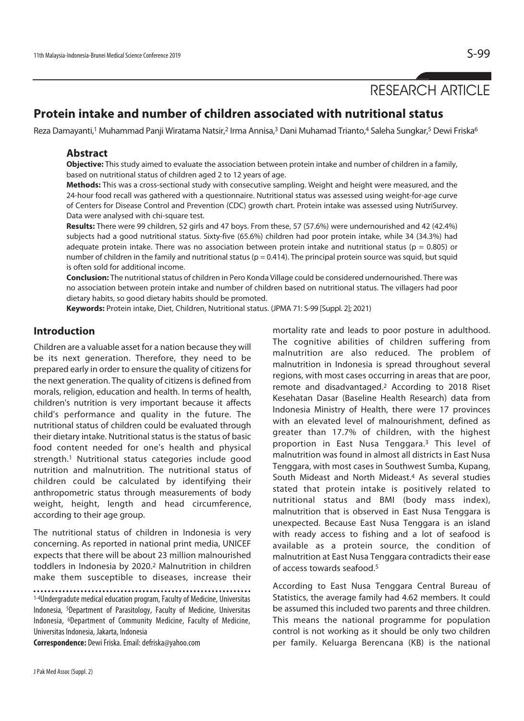# RESEARCH ARTICLE

# **Protein intake and number of children associated with nutritional status**

Reza Damayanti,<sup>1</sup> Muhammad Panji Wiratama Natsir,<sup>2</sup> Irma Annisa,<sup>3</sup> Dani Muhamad Trianto,<sup>4</sup> Saleha Sungkar,<sup>5</sup> Dewi Friska<sup>6</sup>

#### **Abstract**

**Objective:** This study aimed to evaluate the association between protein intake and number of children in a family, based on nutritional status of children aged 2 to 12 years of age.

**Methods:** This was a cross-sectional study with consecutive sampling. Weight and height were measured, and the 24-hour food recall was gathered with a questionnaire. Nutritional status was assessed using weight-for-age curve of Centers for Disease Control and Prevention (CDC) growth chart. Protein intake was assessed using NutriSurvey. Data were analysed with chi-square test.

**Results:** There were 99 children, 52 girls and 47 boys. From these, 57 (57.6%) were undernourished and 42 (42.4%) subjects had a good nutritional status. Sixty-five (65.6%) children had poor protein intake, while 34 (34.3%) had adequate protein intake. There was no association between protein intake and nutritional status ( $p = 0.805$ ) or number of children in the family and nutritional status ( $p = 0.414$ ). The principal protein source was squid, but squid is often sold for additional income.

**Conclusion:** The nutritional status of children in Pero Konda Village could be considered undernourished. There was no association between protein intake and number of children based on nutritional status. The villagers had poor dietary habits, so good dietary habits should be promoted.

**Keywords:** Protein intake, Diet, Children, Nutritional status. (JPMA 71: S-99 [Suppl. 2]; 2021)

### **Introduction**

Children are a valuable asset for a nation because they will be its next generation. Therefore, they need to be prepared early in order to ensure the quality of citizens for the next generation. The quality of citizens is defined from morals, religion, education and health. In terms of health, children's nutrition is very important because it affects child's performance and quality in the future. The nutritional status of children could be evaluated through their dietary intake. Nutritional status is the status of basic food content needed for one's health and physical strength.1 Nutritional status categories include good nutrition and malnutrition. The nutritional status of children could be calculated by identifying their anthropometric status through measurements of body weight, height, length and head circumference, according to their age group.

The nutritional status of children in Indonesia is very concerning. As reported in national print media, UNICEF expects that there will be about 23 million malnourished toddlers in Indonesia by 2020.2 Malnutrition in children make them susceptible to diseases, increase their

1-4Undergradute medical education program, Faculty of Medicine, Universitas Indonesia, 5Department of Parasitology, Faculty of Medicine, Universitas Indonesia, 6Department of Community Medicine, Faculty of Medicine, Universitas Indonesia, Jakarta, Indonesia

**Correspondence:** Dewi Friska. Email: defriska@yahoo.com

mortality rate and leads to poor posture in adulthood. The cognitive abilities of children suffering from malnutrition are also reduced. The problem of malnutrition in Indonesia is spread throughout several regions, with most cases occurring in areas that are poor, remote and disadvantaged.2 According to 2018 Riset Kesehatan Dasar (Baseline Health Research) data from Indonesia Ministry of Health, there were 17 provinces with an elevated level of malnourishment, defined as greater than 17.7% of children, with the highest proportion in East Nusa Tenggara.3 This level of malnutrition was found in almost all districts in East Nusa Tenggara, with most cases in Southwest Sumba, Kupang, South Mideast and North Mideast.4 As several studies stated that protein intake is positively related to nutritional status and BMI (body mass index), malnutrition that is observed in East Nusa Tenggara is unexpected. Because East Nusa Tenggara is an island with ready access to fishing and a lot of seafood is available as a protein source, the condition of malnutrition at East Nusa Tenggara contradicts their ease of access towards seafood.5

According to East Nusa Tenggara Central Bureau of Statistics, the average family had 4.62 members. It could be assumed this included two parents and three children. This means the national programme for population control is not working as it should be only two children per family. Keluarga Berencana (KB) is the national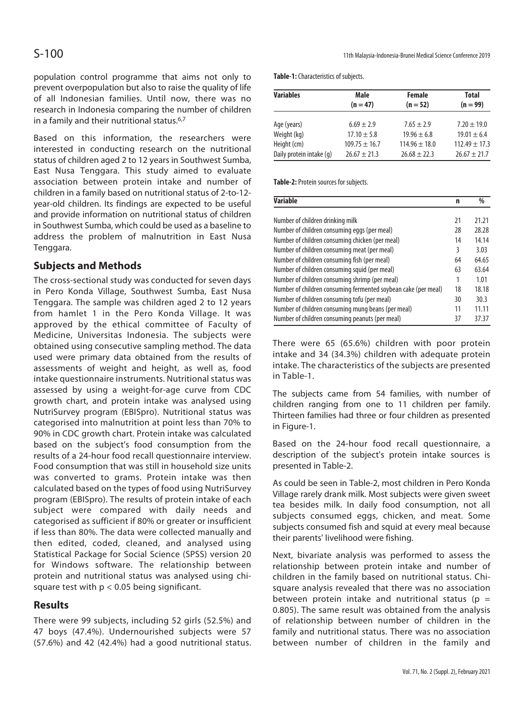population control programme that aims not only to prevent overpopulation but also to raise the quality of life of all Indonesian families. Until now, there was no research in Indonesia comparing the number of children in a family and their nutritional status.6,7

Based on this information, the researchers were interested in conducting research on the nutritional status of children aged 2 to 12 years in Southwest Sumba, East Nusa Tenggara. This study aimed to evaluate association between protein intake and number of children in a family based on nutritional status of 2-to-12 year-old children. Its findings are expected to be useful and provide information on nutritional status of children in Southwest Sumba, which could be used as a baseline to address the problem of malnutrition in East Nusa Tenggara.

## **Subjects and Methods**

The cross-sectional study was conducted for seven days in Pero Konda Village, Southwest Sumba, East Nusa Tenggara. The sample was children aged 2 to 12 years from hamlet 1 in the Pero Konda Village. It was approved by the ethical committee of Faculty of Medicine, Universitas Indonesia. The subjects were obtained using consecutive sampling method. The data used were primary data obtained from the results of assessments of weight and height, as well as, food intake questionnaire instruments. Nutritional status was assessed by using a weight-for-age curve from CDC growth chart, and protein intake was analysed using NutriSurvey program (EBISpro). Nutritional status was categorised into malnutrition at point less than 70% to 90% in CDC growth chart. Protein intake was calculated based on the subject's food consumption from the results of a 24-hour food recall questionnaire interview. Food consumption that was still in household size units was converted to grams. Protein intake was then calculated based on the types of food using NutriSurvey program (EBISpro). The results of protein intake of each subject were compared with daily needs and categorised as sufficient if 80% or greater or insufficient if less than 80%. The data were collected manually and then edited, coded, cleaned, and analysed using Statistical Package for Social Science (SPSS) version 20 for Windows software. The relationship between protein and nutritional status was analysed using chisquare test with  $p < 0.05$  being significant.

### **Results**

There were 99 subjects, including 52 girls (52.5%) and 47 boys (47.4%). Undernourished subjects were 57 (57.6%) and 42 (42.4%) had a good nutritional status.

S-100 11th Malaysia-Indonesia-Brunei Medical Science Conference 2019

**Table-1:** Characteristics of subjects.

| <b>Variables</b>         | Male              | Female           | <b>Total</b>     |  |
|--------------------------|-------------------|------------------|------------------|--|
|                          | $(n = 47)$        | $(n = 52)$       | $(n = 99)$       |  |
|                          |                   |                  |                  |  |
| Age (years)              | $6.69 \pm 2.9$    | $7.65 \pm 2.9$   | $7.20 \pm 19.0$  |  |
| Weight (kg)              | $17.10 \pm 5.8$   | $19.96 \pm 6.8$  | $19.01 \pm 6.4$  |  |
| Height (cm)              | $109.75 \pm 16.7$ | $114.96 + 18.0$  | $112.49 + 17.3$  |  |
| Daily protein intake (q) | $76.67 + 71.3$    | $26.68 \pm 22.3$ | $26.67 \pm 21.7$ |  |

**Table-2:** Protein sources for subjects.

| <b>Variable</b>                                                |    | %     |
|----------------------------------------------------------------|----|-------|
|                                                                | 21 |       |
| Number of children drinking milk                               |    | 21.21 |
| Number of children consuming eggs (per meal)                   |    | 28.28 |
| Number of children consuming chicken (per meal)                |    | 14.14 |
| Number of children consuming meat (per meal)                   |    | 3.03  |
| Number of children consuming fish (per meal)                   |    | 64.65 |
| Number of children consuming squid (per meal)                  |    | 63.64 |
| Number of children consuming shrimp (per meal)                 |    | 1.01  |
| Number of children consuming fermented soybean cake (per meal) |    | 18.18 |
| Number of children consuming tofu (per meal)                   |    | 30.3  |
| Number of children consuming mung beans (per meal)             |    | 11.11 |
| Number of children consuming peanuts (per meal)                |    | 37.37 |

There were 65 (65.6%) children with poor protein intake and 34 (34.3%) children with adequate protein intake. The characteristics of the subjects are presented in Table-1.

The subjects came from 54 families, with number of children ranging from one to 11 children per family. Thirteen families had three or four children as presented in Figure-1.

Based on the 24-hour food recall questionnaire, a description of the subject's protein intake sources is presented in Table-2.

As could be seen in Table-2, most children in Pero Konda Village rarely drank milk. Most subjects were given sweet tea besides milk. In daily food consumption, not all subjects consumed eggs, chicken, and meat. Some subjects consumed fish and squid at every meal because their parents' livelihood were fishing.

Next, bivariate analysis was performed to assess the relationship between protein intake and number of children in the family based on nutritional status. Chisquare analysis revealed that there was no association between protein intake and nutritional status ( $p =$ 0.805). The same result was obtained from the analysis of relationship between number of children in the family and nutritional status. There was no association between number of children in the family and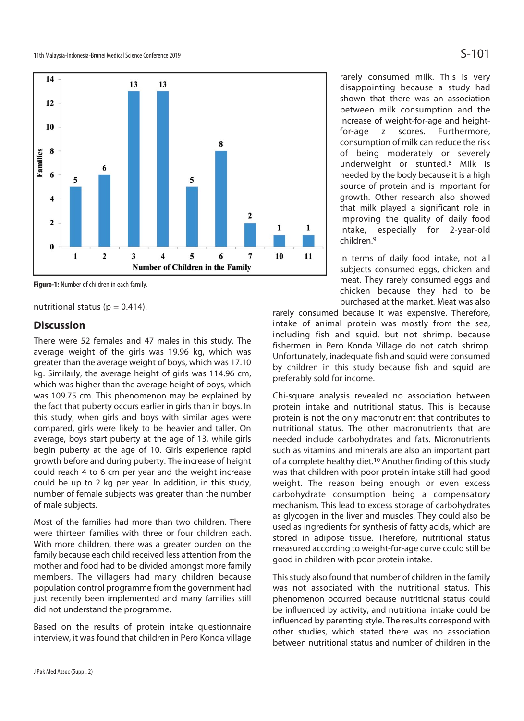

**Figure-1:** Number of children in each family.

nutritional status ( $p = 0.414$ ).

#### **Discussion**

There were 52 females and 47 males in this study. The average weight of the girls was 19.96 kg, which was greater than the average weight of boys, which was 17.10 kg. Similarly, the average height of girls was 114.96 cm, which was higher than the average height of boys, which was 109.75 cm. This phenomenon may be explained by the fact that puberty occurs earlier in girls than in boys. In this study, when girls and boys with similar ages were compared, girls were likely to be heavier and taller. On average, boys start puberty at the age of 13, while girls begin puberty at the age of 10. Girls experience rapid growth before and during puberty. The increase of height could reach 4 to 6 cm per year and the weight increase could be up to 2 kg per year. In addition, in this study, number of female subjects was greater than the number of male subjects.

Most of the families had more than two children. There were thirteen families with three or four children each. With more children, there was a greater burden on the family because each child received less attention from the mother and food had to be divided amongst more family members. The villagers had many children because population control programme from the government had just recently been implemented and many families still did not understand the programme.

Based on the results of protein intake questionnaire interview, it was found that children in Pero Konda village rarely consumed milk. This is very disappointing because a study had shown that there was an association between milk consumption and the increase of weight-for-age and heightfor-age z scores. Furthermore, consumption of milk can reduce the risk of being moderately or severely underweight or stunted.8 Milk is needed by the body because it is a high source of protein and is important for growth. Other research also showed that milk played a significant role in improving the quality of daily food intake, especially for 2-year-old children.9

In terms of daily food intake, not all subjects consumed eggs, chicken and meat. They rarely consumed eggs and chicken because they had to be purchased at the market. Meat was also

rarely consumed because it was expensive. Therefore, intake of animal protein was mostly from the sea, including fish and squid, but not shrimp, because fishermen in Pero Konda Village do not catch shrimp. Unfortunately, inadequate fish and squid were consumed by children in this study because fish and squid are preferably sold for income.

Chi-square analysis revealed no association between protein intake and nutritional status. This is because protein is not the only macronutrient that contributes to nutritional status. The other macronutrients that are needed include carbohydrates and fats. Micronutrients such as vitamins and minerals are also an important part of a complete healthy diet.10 Another finding of this study was that children with poor protein intake still had good weight. The reason being enough or even excess carbohydrate consumption being a compensatory mechanism. This lead to excess storage of carbohydrates as glycogen in the liver and muscles. They could also be used as ingredients for synthesis of fatty acids, which are stored in adipose tissue. Therefore, nutritional status measured according to weight-for-age curve could still be good in children with poor protein intake.

This study also found that number of children in the family was not associated with the nutritional status. This phenomenon occurred because nutritional status could be influenced by activity, and nutritional intake could be influenced by parenting style. The results correspond with other studies, which stated there was no association between nutritional status and number of children in the